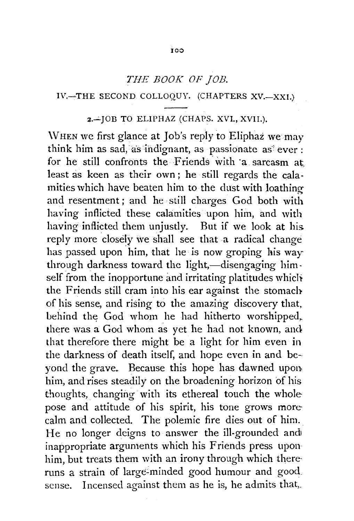# *THE BOOK OF JOB.*

#### 1\'.~THE SECOND COLLOQUY. (CHAPTERS XV.-XXI.)

### 2.-IOB TO ELIPHAZ (CHAPS. XVI., XVII.).

\VHEN we first glance at Job's reply to Eliphaz we may think him as sad, as indignant, as passionate as ever : for he still confronts the Friends with a sarcasm at least as keen as their own; he still regards the calamities which have beaten him to the dust with loathing and resentment; and he still charges God both with having inflicted these calamities upon him, and with having inflicted them unjustly. But if we look at his. reply more closely we shall see that a radical change has passed upon him, that he is now groping his way through darkness toward the light,-disengaging himself from the inopportune and irritating platitudes which the Friends still cram into his ear against the stomach of his sense, and rising to the amazing discovery that, behind the God whom he had hitherto worshipped, there was a God whom as yet he had not known, and that therefore there might be a light for him even in the darkness of death itself, and hope even in and beyond the grave. Because this hope has dawned upon him, and rises steadily on the broadening horizon of his thoughts, changing with its ethereal touch the whole pose and attitude of his spirit, his tone grows more calm and collected. The polemic fire dies out of him. He no longer deigns to answer the ill-grounded and inappropriate arguments which his Friends press upon him, but treats them with an irony through which thereruns a strain of large-minded good humour and good. sense. Incensed against them as he is, he admits that,.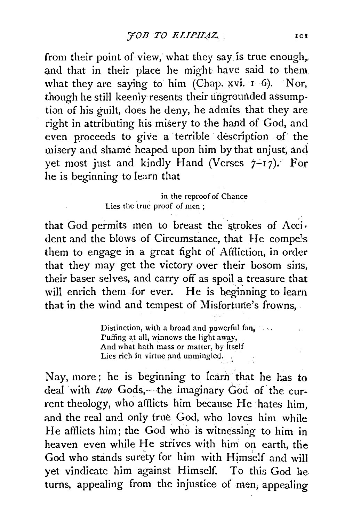from their point of view, what they say is true enough, and that in their place he might have said to them. what they are saying to him (Chap.  $xvi.$   $I-6$ ). Nor, though he still keenly resents their ungrounded assumption of his guilt, does he deny, he admits that they are right in attributing his misery to the hand of God, and even proceeds to give a terrible description of the misery and shame heaped upon him by that unjust; anci yet most just and kindly Hand (Verses  $7-17$ ). For he is beginning to learn that

> in the reproof of Chance Lies the true proof of men;

that God permits men to breast the strokes of Acci. dent and the blows of Circumstance, that He compe!s them to engage in a great fight of Affliction, in order that they may get the victory over their bosom sins, their baser selves, and carry off as spoil a treasure that will enrich them for ever. He is beginning to learn that in the wind and tempest of Misfortune's frowns,.

> Distinction, with a broad and powerful fan, Puffing at all, winnows the light away, And what hath mass or matter, by itself Lies rich in virtue and unmingled.

Nay, more; he is beginning to learn that he has to deal with *two* Gods,-the imaginary God of the current theology, who afflicts him because He hates him, and the real and only true God, who loves him while He afflicts him; the God who is witnessing to him in heaven even while He strives with him on earth, the God who stands surety for him with Himself and will yet vindicate him against Himself. To this God be. turns, appealing from the injustice of men, appealing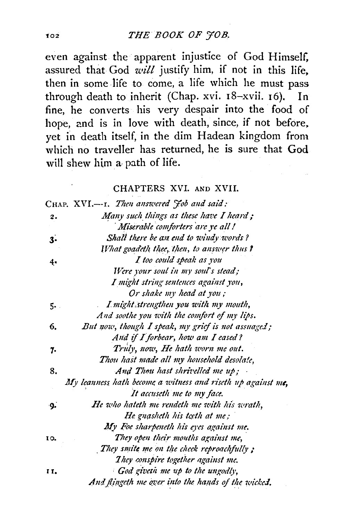even against the apparent injustice of God Himself, assured that God will justify him, if not in this life, then in some life to come, a life which he must pass through death to inherit (Chap. xvi. 18-xvii. 16). In fine, he converts his very despair into the food of hope, and is in love with death, since, if not before, yet in death itself, in the dim Hadean kingdom from which no traveller has returned, he is sure that God will shew him a path of life.

### CHAPTERS XVI. AND XVII.

|     | CHAP. XVI.---1. Then answered Job and said:                 |
|-----|-------------------------------------------------------------|
| 2.  | Many such things as these have I heard;                     |
|     | Miserable comforters are ye all!                            |
| 3.  | Shall there be an end to windy words?                       |
|     | What goadeth thee, then, to answer thus ?                   |
| 4,  | I too could speak as you                                    |
|     | Were your soul in my soul's stead;                          |
|     | I might string sentences against you,                       |
|     | Or shake my head at you;                                    |
| 5.  | I might strengthen you with my mouth,                       |
|     | And soothe you with the comfort of my lips.                 |
| 6.  | But now, though I speak, my grief is not assuaged;          |
|     | And if I forbear, how am I eased?                           |
| 7.  | Truly, now, He hath worn me out.                            |
|     | Thou hast made all my household desolate,                   |
| 8.  | And Thou hast shrivelled me up;                             |
|     | My leanness hath become a witness and riseth up against me, |
|     | It accuseth me to my face.                                  |
| ۰g. | He who hateth me rendeth me with his wrath,                 |
|     | He gnasheth his teeth at me;                                |
|     | My Foe sharpeneth his eyes against me.                      |
| 10. | They open their mouths against me,                          |
|     | They smite me on the check reproachfully;                   |
|     | They conspire together against me.                          |
| П.  | God giveth me up to the ungodly,                            |
|     | And flingeth me over into the hands of the wicked.          |

102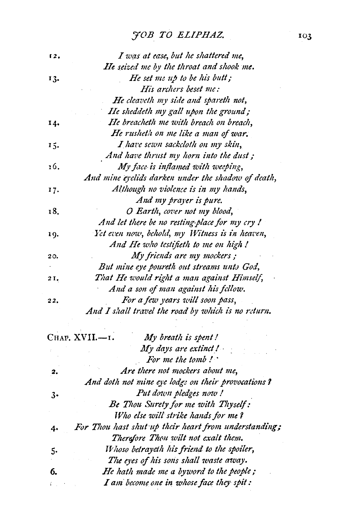# JOB TO ELIPHAZ.

| 12, | I was at ease, but he shattered me,                |
|-----|----------------------------------------------------|
|     | <b>He seized me by the throat and shook me.</b>    |
| 13. | He set me up to be his butt;                       |
|     | His archers beset me:                              |
|     | He cleaveth my side and spareth not,               |
|     | He sheddeth my gall upon the ground;               |
| 14. | He breacheth me with breach on breach,             |
|     | He rusheth on me like a man of war,                |
| 15. | I have sewn sackcloth on my skin,                  |
|     | And have thrust my horn into the dust;             |
| 16. | My face is inflamed with weeping,                  |
|     | And mine eyelids darken under the shadow of death, |
| 17. | Although no violence is in my hands,               |
|     | And my prayer is pure.                             |
| 18. | O Earth, cover not my blood,                       |
|     | And let there be no resting-place for my cry !     |
| 19. | Yet even now, behold, my Witness is in heaven,     |
|     | And He who testifieth to me on high !              |
| 20. | My friends are my mockers;                         |
|     | But mine eye poureth out streams unto God,         |
| 21. | That He would right a man against Himself,         |
|     | And a son of man against his fellow.               |
| 22. | For a few years will soon pass,                    |
|     | And I shall travel the road by which is no return. |

|    | Снар. XVII.-1.<br>My breath is spent!                 |
|----|-------------------------------------------------------|
|    | $My$ days are extinct $l_{\parallel}$                 |
|    | For me the tomb!                                      |
| 2. | Are there not mockers about me.                       |
|    | And doth not mine eye lodge on their provocations?    |
| 3. | Put down pledges now!                                 |
|    | Be Thou Surety for me with Thyself:                   |
|    | Who else will strike hands for me?                    |
| 4. | For Thou hast shut up their heart from understanding; |
|    | Therefore Thou wilt not exalt them.                   |
| 5. | Whoso betrayeth his friend to the spoiler,            |
|    | The eyes of his sons shall waste away.                |
| 6. | He hath made me a byword to the people;               |
|    | I am become one in whose face they spit:              |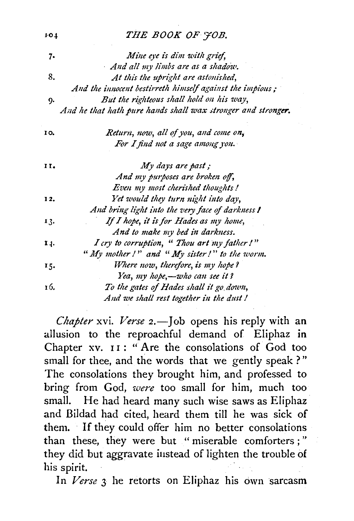# THE BOOK OF JOB.

 $101$ 

| 7.  | Mine eye is dim with grief,                                  |
|-----|--------------------------------------------------------------|
|     | And all my limbs are as a shadow.                            |
| 8.  | At this the upright are astonished,                          |
|     | And the innocent bestirreth himself against the impious;     |
| 9.  | But the righteous shall hold on his way,                     |
|     | And he that hath pure hands shall wax stronger and stronger. |
| 10. | Return, now, all of you, and come on,                        |
|     | For I find not a sage among you.                             |
| 11. | My days are past;                                            |
|     | And my purposes are broken off,                              |
|     | Even my most cherished thoughts!                             |
| 12. | Yet would they turn night into day,                          |
|     | And bring light into the very face of darkness I             |
| 13. | If I hope, it is for Hades as my home,                       |
|     | And to make my bed in darkness.                              |
| 14. | I cry to corruption, " Thou art my father!"                  |
|     | "My mother!" and "My sister!" to the worm.                   |
| 15. | Where now, therefore, is my hope?                            |
|     | Yea, my hope,-who can see it?                                |
| 16. | To the gates of Hades shall it go down,                      |
|     | And we shall rest together in the dust!                      |

Chapter xvi. Verse 2.- Job opens his reply with an allusion to the reproachful demand of Eliphaz in Chapter xv. II: "Are the consolations of God too small for thee, and the words that we gently speak?" The consolations they brought him, and professed to bring from God, were too small for him, much too small. He had heard many such wise saws as Eliphaz and Bildad had cited, heard them till he was sick of them. If they could offer him no better consolations than these, they were but "miserable comforters;" they did but aggravate instead of lighten the trouble of his spirit.

In Verse 3 he retorts on Eliphaz his own sarcasm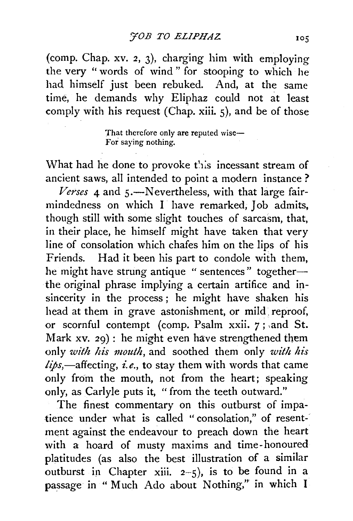(comp. Chap. xv. *2,* 3), charging him with employing the very " words of wind " for stooping to which he had himself just been rebuked. And, at the same time, he demands why Eliphaz could not at least comply with his request (Chap. xiii. 5), and be of those

> That therefore only are reputed wise-For saying nothing.

What had he done to provoke this incessant stream of ancient saws, all intended to point a modern instance ?

Verses 4 and 5.-Nevertheless, with that large fairmindedness on which I have remarked, Job admits, though still with some slight touches of sarcasm, that, in their place, he himself might have taken that very line of consolation which chafes him on the lips of his Friends. Had it been his part to condole with them, he might have strung antique " sentences" togetherthe original phrase implying a certain artifice and insincerity in the process ; he might have shaken his head at them in grave astonishment, or mild, reproof, or scornful contempt (comp. Psalm xxii. 7; and St. Mark xv. 29): he might even have strengthened them only *with his mouth,* and soothed them only *with his*  lips,-affecting, *i.e.*, to stay them with words that came only from the mouth, not from the heart; speaking only, as Carlyle puts it, "from the teeth outward."

The finest commentary on this outburst of impatience under what is called "consolation," of resentment against the endeavour to preach down the heart with a hoard of musty maxims and time-honoured platitudes (as also the best illustration of a similar outburst in Chapter xiii.  $2-5$ ), is to be found in a passage in "Much Ado about Nothing," in which I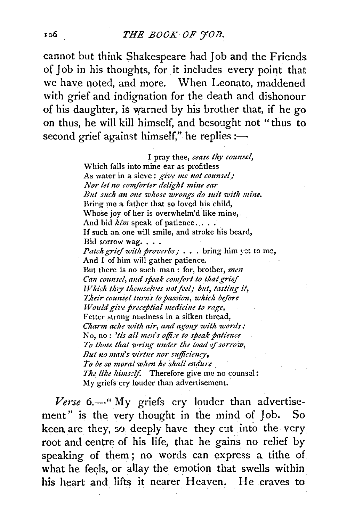#### THE BOOK OF FOB.

cannot but think Shakespeare had Job and the Friends of Job in his thoughts, for it includes every point that we have noted, and more. When Leonato, maddened with grief and indignation for the death and dishonour of his daughter, is warned by his brother that, if he go on thus, he will kill himself, and besought not "thus to second grief against himself," he replies :-

> I pray thee, cease thy counsel, Which falls into mine ear as profitless As water in a sieve: give me not counsel; Nør let no comforter delight mine ear But such an one whose wrongs do suit with mine. Bring me a father that so loved his child, Whose joy of her is overwhelm'd like mine, And bid him speak of patience.... If such an one will smile, and stroke his beard, Bid sorrow wag. . . . *Patch grief with proverbs ; . . . bring him yet to me,* And I of him will gather patience. But there is no such man : for, brother, men Can counsel, and speak comfort to that grief Which they themselves not feel; but, tasting it, Their counsel turns to passion, which before Would give preceptial medicine to rage, Fetter strong madness in a silken thread, Charm ache with air, and agony with words: No, no: 'tis all men's office to speak patience To those that wring under the load of sorrow, But no man's virtue nor sufficiency. To be so moral when he shall endure The like himself. Therefore give me no counsel: My griefs cry louder than advertisement.

Verse 6.—"My griefs cry louder than advertisement" is the very thought in the mind of Job. So. keen are they, so deeply have they cut into the very root and centre of his life, that he gains no relief by speaking of them; no words can express a tithe of what he feels, or allay the emotion that swells within his heart and lifts it nearer Heaven. He craves to

10б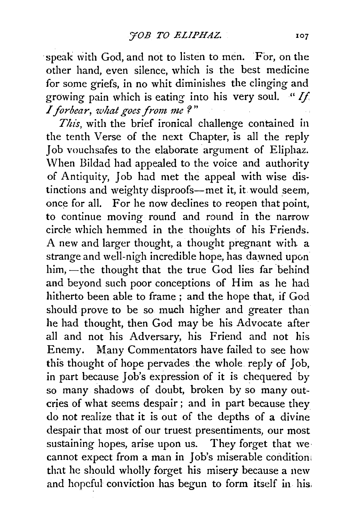speak with God, and not to listen to men. For, on the other hand, even silence, which is the best medicine for *some* griefs, in no whit diminishes the clinging and growing pain which is eating into his very soul. " $If$ *I forbear, what goes from me?*"

This, with the brief ironical challenge contained in the tenth Verse of the next Chapter, is all the reply Job vouchsafes to the elaborate argument of Eliphaz. \Vhen Bildad had appealed to the voice and authority of Antiquity, Job had met the appeal with wise distinctions and weighty disproofs-met it, it would seem, once for all. For he now declines to reopen that point, to continue moving round and round in the narrow circle which hemmed in the thoughts of his Friends. A new and larger thought, a thought pregnant with a strange and well-nigh incredible hope, has dawned upon him, -the thought that the true God lies far behind and beyond such poor conceptions of Him as he had hitherto been able to frame ; and the hope that, if God should prove to be so much higher and greater than he had thought, then God may be his Advocate after all and not his Adversary, his Friend and not his Enemy. Many Commentators have failed to see how this thought of hope pervades the whole. reply of Job, in part because Job's expression of it is chequered by so many shadows of doubt, broken by so many outcries of what seems despair ; and in part because they do not realize that it is out of the depths of a divine despair that most of our truest presentiments, our most sustaining hopes, arise upon us. They forget that we cannot expect from a man in Job's miserable condition: that he should wholly forget his misery because a new and hopeful conviction has begun to form itself in his.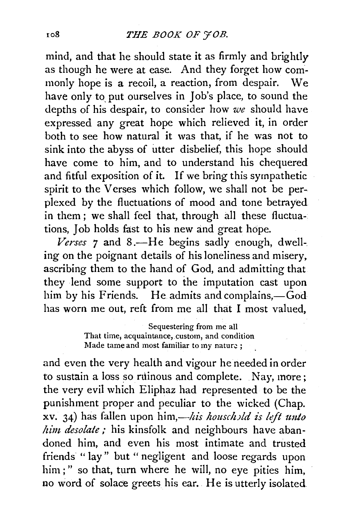mind, and that he should state it as firmly and brightly as though he were at ease. And they forget how commonly hope is a recoil, a reaction, from despair. We have only to put ourselves in Job's place, to sound the depths of his despair, to consider how *we* should have expressed any great hope which relieved it, in order both to see how natural it was that, if he was not to sink into the abyss of utter disbelief, this hope should have come to him, and to understand his chequered and fitful exposition of it. If we bring this sympathetic spirit to the Verses which follow, we shall not be perplexed by the fluctuations of mood and tone betrayed in them ; we shall feel that, through all these fluctuations, Job holds fast to his new and great hope.

*Verses 7* and 8.-He begins sadly enough, dwell-. ing on the poignant details of his loneliness and misery, ascribing them to the hand of God, and admitting that they lend some support to the imputation cast upon him by his Friends. He admits and complains, $-\dot{G}$ od has worn me out, reft from me all that I most valued,

> Sequestering from me all That time; acquaintance, custom, and condition Made tame and most familiar to my nature ;

and even the very health and vigour he needed in order to sustain a loss so ruinous and complete. Nay, more; the very evil which Eliphaz had represented to be the punishment proper and peculiar to the wicked (Chap. xv. 34) has fallen upon *him,—his houschild is left unto* him desolate ; his kinsfolk and neighbours have abandoned him, and even his most intimate and trusted friends " lay" but " negligent and loose regards upon him;" so that, turn where he will, no eye pities him, no word of solace greets his ear. He is utterly isolated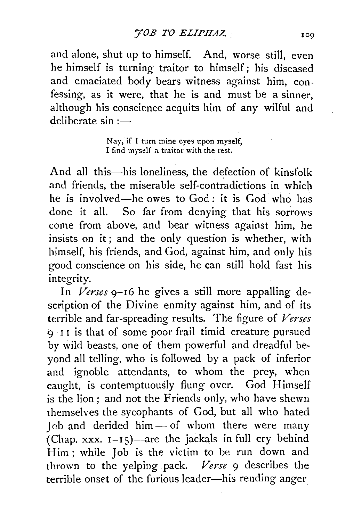and alone, shut up to himself. And, worse still, even he himself is turning traitor to himself; his diseased and emaciated body bears witness against him, confessing, as it were, that he is and must be a sinner, although his conscience acquits him of any wilful and deliberate  $sin :=$ 

> Nay, if I turn mine eyes upon myself, I find myself a traitor with the rest.

And all this—his loneliness, the defection of kinsfolk and friends, the miserable self-contradictions in whicb he is involved--he owes to God: it is God who has done it all. So far from denying that his sorrows come from above, and bear witness against him, he insists on it; and the only question is whether, with himself, his friends, and God, against him, and only his good conscience on his side, he can still hold fast his integrity.

In *Verses* 9-16 he gives a still more appalling description of the Divine enmity against him, and of its terrible and far-spreading results. The figure of *Verses*  $9-11$  is that of some poor frail timid creature pursued by wild beasts, one of them powerful and dreadful beyond all telling, who is followed by a pack of inferior and ignoble attendants, to whom the prey, when caught, is contemptuously flung over. God Himself is the lion; and not the Friends only, who have shewn themselves the sycophants of God, but all who hated  $\text{Job}$  and derided him  $\text{—}$  of whom there were many (Chap. xxx.  $1-15$ )—are the jackals in full cry behind Him ; while Job is the victim to be run down and thrown to the yelping pack. *Verse* 9 describes the terrible onset of the furious leader-his rending anger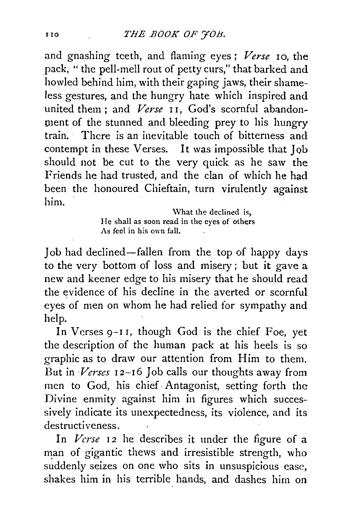and gnashing teeth, and flaming eyes ; *Verse* 10, the pack, " the pell-mell rout of petty curs," that barked and howled behind him, with their gaping jaws, their shameless gestures, and the hungry hate which inspired and united them; and *Verse* II, God's scornful abandonment of the stunned and bleeding prey to his hungry train. There is an inevitable touch of bitterness and contempt in these Verses. It was impossible that Job should not be cut to the very quick as he saw the Friends he had trusted, and the clan of which he had been the honoured Chieftain, turn virulently against him.

> What the declined is, He shall as soon read in the eyes of others As feel in his own fall.

Job had declined-fallen from the top of happy days to the very bottom of loss and misery; but it gave a new and keener edge to his misery that he should read the evidence of his decline in the averted or scornful eyes of men on whom he had relied for sympathy and help.

In Verses 9-I I, though God is the chief Foe, yet the description of the human pack at his heels is so graphic as to draw our attention from Him to them. But in *Verses*  $I2-I6$  Job calls our thoughts away from men to God, his chief· Antagonist, setting forth the Divine enmity against him in figures which successively indicate its unexpectedness, its violence, and its destructiveness.

In *Verse* 12 he describes it under the figure of a man of gigantic thews and irresistible strength, who suddenly seizes on one who sits in unsuspicious ease, shakes him in his terrible hands, and dashes him on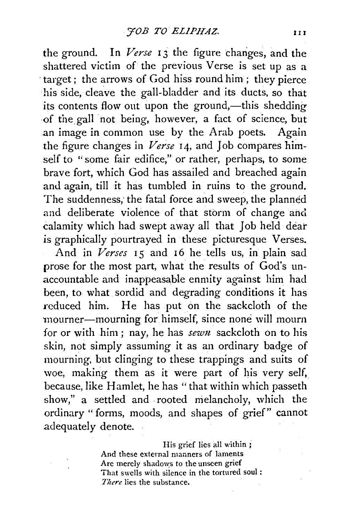the ground. In *Verse* 13 the figure changes, and the shattered victim of the previous Verse is set up as a ·target ; the arrows of God hiss round him; they pierce his side, cleave the gall-bladder and its ducts, so that its contents flow out upon the ground,—this shedding ·of thegall not being, however, a fact of science, but an image in common use by the Arab poets. Again the figure changes in *Verse* 14, and Job compares himself to "some fair edifice," or rather, perhaps, to some brave fort, which God has assailed and breached again and again, till it has tumbled in ruins to the ground. The suddenness, the fatal force and sweep, the planned and deliberate violence of that storm of change and calamity which had swept away all that Job held dear is graphically pourtrayed in these picturesque Verses.

And in *Verses* 15 and 16 he tells us, in plain sad prose for the most part, what the results of God's unaccountable and inappeasable enmity against him had been, to what sordid and degrading conditions it has reduced him. He has put on the sackcloth of the 'mourner-mourning for himself, since none will mourn for or with him; nay, he has *sewn* sackcloth on to his skin, not simply assuming it as an ordinary badge of mourning, but clinging to these trappings and suits of woe, making them as it were part of his very self, because, like Hamlet, he has "that within which passeth show," a settled and rooted melancholy, which the ordinary "forms, moods, and shapes of grief" cannot adequately denote.

> His grief lies all within ; And these external manners of laments Arc merely shadows to the unseen grief That swells with silence in the tortured soul : *There* lies the substance.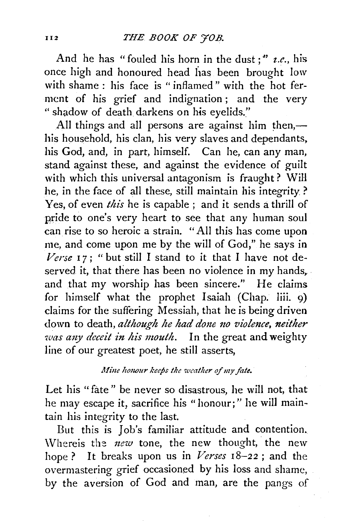And he has "fouled his horn in the dust;" *z.e.*, his once high and honoured head has been brought low with shame : his face is "inflamed" with the hot ferment of his grief and indignation ; and the very " shadow of death. darkens on his eyelids."

All things and all persons are against him then, $$ his household, his clan, his very slaves and dependants, his God, and, in part, himself. Can he, can any man, stand against these, and against the evidence of guilt with which this universal antagonism is fraught? WiH he, in the face of all these, still maintain his integrity ? Yes, of even *this* he is capable ; and it sends a thrill of pride to one's very heart to see that any human soul can rise to so heroic a strain. "All this has come upon me, and come upon me by the will of God," he says in  $Verse$  17; " but still I stand to it that I have not deserved it, that there has been no violence in my hands, and that my worship has been sincere." He claims for himself what the prophet Isaiah (Chap. liii. 9) claims for the suffering Messiah, that he is being driven down to death, *although he had done no violence*, neither *was any deceit in his mouth.* In the great and weighty line of our greatest poet, he still asserts,

### *Mine honour keeps the weather of my fate.*

Let his " fate " be never so disastrous, he will not, that he may escape it, sacrifice his "honour;" he will maintain his integrity to the last.

But this is Job's familiar attitude and contention. \Vhereis the *1zew* tone, the new thought, the new hope? It breaks upon us in *Verses* 18-22 ; and the overmastering grief occasioned by his loss and shame, by the aversion of God and man, are the pangs of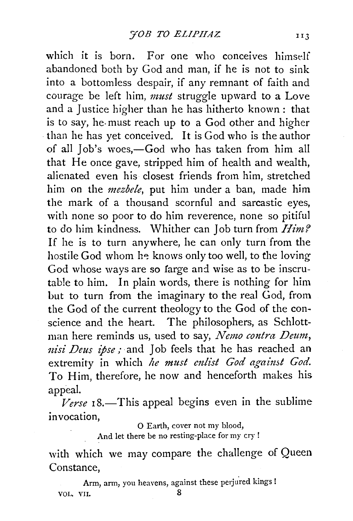which it is born. For one who conceives himself abandoned both by God and man, if he is not to sink into a bottomless despair, if any remnant of faith and courage be left him, *must* struggle upward to a Love and a Justice higher than he has hitherto known : that is to say, he. must reach up to a God other and higher than he has yet conceived. It is God who is the author of all Job's woes,-God who has taken from him all that He once gave, stripped him of health and wealth, alienated even his closest friends from him, stretched him on the *mezbele,* put him under a ban, made him the mark of a thousand scornful and sarcastic eyes, with none so poor to do him reverence, none so pitiful to do him kindness. Whither can Job turn from *Him?* If he is to turn anywhere, he can only turn from the hostile God whom he knows only too well, to the loving God whose ways are so farge and wise as to be inscrutable to him. In plain words, there is nothing for him but to turn from the imaginary to the real God, from the God of the current theology to the God of the conscience and the heart. The philosophers, as Schlottman here reminds us, used to say, *Nemo contra Deum, nisi Deus ipse;* and Job feels that he has reached an extremity in which *he must mlist God against God.*  To Him, therefore, he now and henceforth makes his appeal.

 $Verse$  18.—This appeal begins even in the sublime invocation,

0 Earth, cover not my blood,

And let there be no resting-place for my cry !

with which we may compare the challenge of Queen Constance,

Arm, arm, you heavens, against these perjured kings ! VOL. VII. 8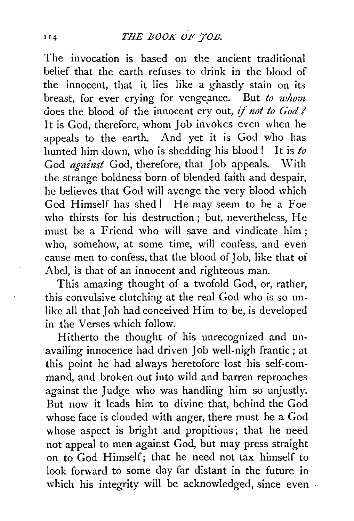The invocation is based on the ancient traditional belief that the earth refuses to drink in the blood of the innocent, that it lies like a ghastly stain on its breast, for ever crying for vengeance. But to whom does the blood of the innocent cry out, if *not to Cod?*  It is God, therefore, whom Job invokes even when he appeals to the earth. And yet it is God who has hunted him down, who is shedding his blood! It is *to*  God *against* God, therefore, that Job appeals. With the strange boldness born of blended faith and despair, he believes that God will avenge the very blood which God Himself has shed! He may seem to be a Foe who thirsts for his destruction; but, nevertheless, He must be a Friend who will save and vindicate him ; who, somehow, at some time, will confess, and even cause men to confess, that the blood of Job, iike that of Abel, is that of an innocent and righteous man.

This amazing thought of a twofold God, or, rather, this convulsive clutching at the real God who is so unlike all that Job had conceived Him to be, is developed in .the Verses which follow.

Hitherto the thought of his unrecognized and unavailing innocence had driven Job well-nigh frantic; at this point he had always heretofore lost his self-command, and broken out into wild and barren reproaches against the Judge who was handling him so unjustly. But now it leads him to divine that, behind the God whose face is clouded with anger, there must be a God whose aspect is bright and propitious; that he need not appeal to men against God, but may press straight on to God Himself; that he need not tax himself to look forward to some day far distant in the future in which his integrity will be acknowledged, since even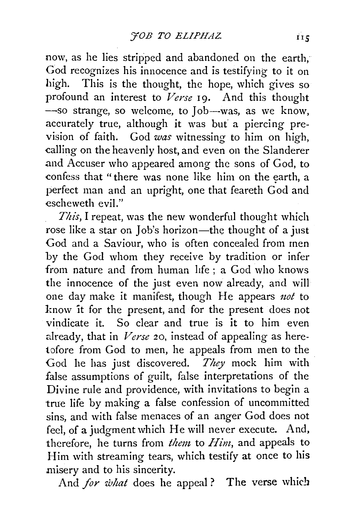now, as he lies stripped and abandoned on the earth, God recognizes his innocence and is testifying to it on high. This is the thought, the hope, which gives so profound an interest to *Verse* 19. And this thought -so strange, so welcome, to Job-was, as we know. accurately true, although it was but' a piercing prevision of faith. God *was* witnessing to him on high, calling on the heavenly host, and even on the Slanderer and Accuser who appeared among the sons of God, to confess that "there was none like him on the earth, a perfect man and an upright, one that feareth God and escheweth evil."

*This,* I repeat, was the new wonderful thought which rose like a star on Job's horizon-the thought of a just God and a Saviour, who is often concealed from men by the God whom they receive by tradition or infer from nature and from human life ; a God who knows the innocence of the just even now already, and will one day make it manifest, though He appears *not* to know it for the present, and for the present does not vindicate it. So clear and true is it to him even already, that in *Verse* 20, instead of appealing as heretofore from God to men, he appeals from men to the God he has just discovered. *They* mock him with false assumptions of guilt, false interpretations of the Divine rule and providence, with invitations to begin a true life by making a false confession of uncommitted sins, and with false menaces of an anger God does not feel, of a judgment which He will never execute. And, therefore, he turns from *them,* to *Him,* and appeals to Him with streaming tears, which testify at once to his misery and to his sincerity.

And *for what* does he appeal? The verse which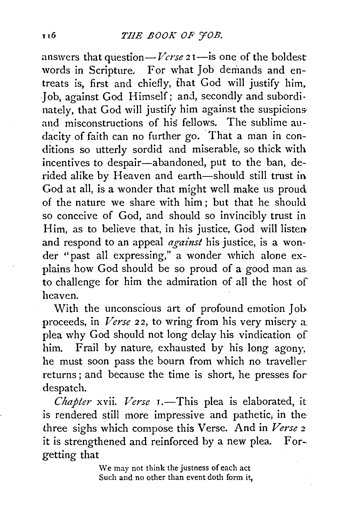answers that question— *Verse* 21—is one of the boldest words in Scripture. For what Job demands and entreats is, first and chiefly, that God will justify him. Job, against God Himself; and, secondly and subordinately, that God will justify him against the suspicions and misconstructions of his fellows. The sublime audacity of faith can no further go. That a man in conditions so utterly sordid and miserable, so thick with incentives to despair-abandoned, put to the ban, derided alike by Heaven and earth-should still trust in God at all, is a wonder that might well make us proud of the nature we share with him ; but that he should so conceive of God, and should so invincibly trust in Him, as to believe that, in his justice, God will listen and respond to an appeal *against* his justice, is a wonder "past all expressing," a wonder which alone explains how God should be so proud of a good man as. to challenge for him the admiration of all the host of heaven.

With the unconscious art of profound emotion Jobproceeds, in *Verse* 22, to wring from his very misery a plea why God should not long delay his vindication of him. Frail by nature, exhausted by his long agony, he must soon pass the bourn from which no traveller returns ; and because the time is short, he presses for· despatch.

*Chapter* xvii. *Verse* I.-This plea is elaborated, it is rendered still more impressive and pathetic, in the three sighs which compose this Verse. And in *Verse* <sup>2</sup> it is strengthened and reinforced by a new plea. Forgetting that

> We may not think the justness of each act Such and no other than event doth form it,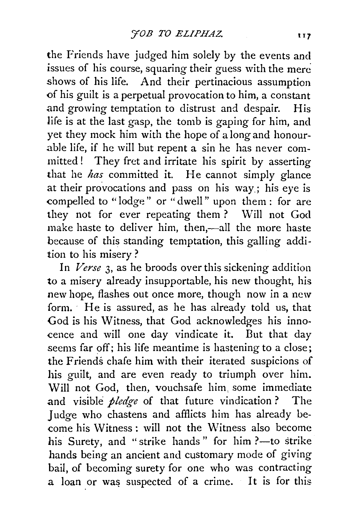the Friends have judged him solely by the events and issues of his course, squaring their guess with the mere shows of his life. And their pertinacious assumption of his guilt is a perpetual provocation to him, a constant and growing temptation to distrust and despair. His life is at the last gasp, the tomb is gaping for him, and yet they mock him with the hope of a long and honourable life, if he will but repent a sin he has never committed ! They fret and irritate his spirit by asserting that he *has* committed it. He cannot simply glance at their provocations and pass on his way; his eye is compelled to "lodge" or "dwell" upon them : for are they not for ever repeating them? Will not God make haste to deliver him, then,-all the more haste because of this standing temptation, this galling addition to his misery ?

In *Verse* 3, as he broods over this sickening addition to a misery already insupportable, his new thought, his new hope, flashes out once more, though now in a new form. He is assured, as he has already told us, that God is his Witness, that God acknowledges his innocence and will one day vindicate it. But that day seems far off; his life meantime is hastening to a close; the Friends chafe him with their iterated suspicions of his guilt, and are even ready to triumph over him. Will not God, then, vouchsafe him some immediate and visible *pledge* of that future vindication ? The Judge who chastens and afflicts him has already become his Witness : will not the Witness also become his Surety, and "strike hands" for him ?-- to strike hands being an ancient and customary mode of giving bail, of becoming surety for one who was contracting a loan or was suspected of a crime. It is for this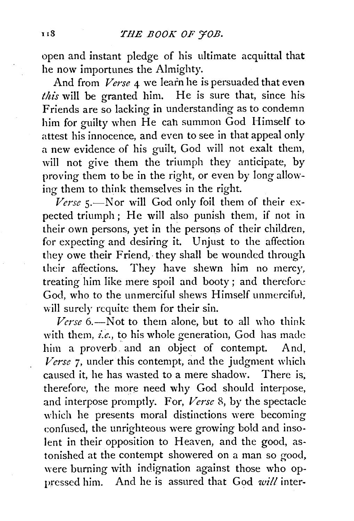open and instant pledge of his ultimate acquittal that he now importunes the Almighty.

And from *Verse* 4 we learn he is persuaded that even *this* will be granted him. He is sure that, since his Friends are so lacking in understanding as to condemn him for guilty when He cah summon God Himself to attest his innocence, and even to see in that appeal only a new evidence of his guilt, God will not exalt them, will not give them the triumph they anticipate, by proving them to be in the right, or even by long allowing them to think themselves in the right.

Verse 5.-Nor will God only foil them of their expected triumph; He will also punish them, if not in their own persons, yet in the persons of their children, for expecting and desiring it. Unjust to the affection they owe their Friend, they shall be wounded through their affections. They have shewn him no mercy, treating him like mere spoil and booty; and therefore God, who to the unmerciful shews Himself unmercifui, will surely requite them for their sin.

Verse 6.-Not to them alone, but to all who think with them, *i.e.,* to his whole generation, God has made him a proverb and an object of contempt. And, *Verse* 7, under this contempt, and the judgment which caused it, he has wasted to a mere shadow. There is, therefore, the more need why God should interpose, and interpose promptly. For, *Verse* 8, by the spectacle which he presents moral distinctions were becoming confused, the unrighteous were growing bold and insolent in their opposition to Heaven, and the good, astonished at the contempt showered on a man so good, were burning with indignation against those who oppressed him. And he is assured that God *will* inter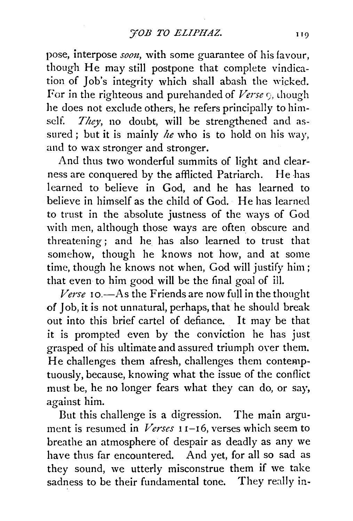pose, interpose *soon*, with some guarantee of his favour, though He may still postpone that complete vindication of Job's integrity which shall abash the wicked. For in the righteous and purehanded of Verse 9, though he does not exclude others, he refers principally to himself. *They,* no doubt, will be strengthened and assured; but it is mainly *he* who is to hold on his way, and to wax stronger and stronger.

And thus two wonderful summits of light and clearness are conquered by the afflicted Patriarch. He has learned to believe in God, and he has learned to believe in himself as the child of God. He has learned to trust in the absolute justness of the ways of God with men, although those ways are often obscure and threatening; and he has also learned to trust that somehow, though he knows not how, and at some time, though he knows not when, God will justify him; that even to him good will be the final goal of ill.

*Verse* 10.-As the Friends are now full in the thought of Job, it is not unnatural, perhaps, that he should break out into this brief cartel of defiance. It may be that it is prompted even by the conviction he has just grasped of his ultimate and assured triumph oyer them. He challenges them afresh, challenges them contemptuously, because, knowing what the issue of the conflict must be, he no longer fears what they can do, or say, against him.

But this challenge is a digression. The main argument is resumed in *Verses* 11-16, verses which seem to breathe an atmosphere of despair as deadly as any we have thus far encountered. And yet, for all so sad as they sound, we utterly misconstrue them if we take sadness to be their fundamental tone. They really in-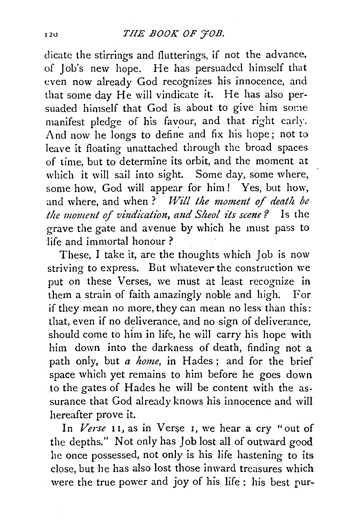# I<sub>20</sub> *THE BOOK OF 'TOB.*

dicate the stirrings and flutterings, if not the advance, of Job's new hope. He has persuaded himself that even now already God recognizes his innocence, and that some day He will vindicate it. He has also persuaded himself that God is about to give him some manifest pledge of his favour, and that right early. And now he longs to define and fix his hope; not to leave it floating unattached through the broad spaces of time, but to determine its orbit, and the moment at which it will sail into sight. Some day, some where, some how, God will appear for him! Yes, but how, and where, and when ? *Will the moment of death be the moment of vindication, and Sheol its scene?* Is the grave the gate and avenue by which he must pass to life and immortal honour ?

These, I take it, are the thoughts which Job is now striving to express. But whatever the construction we put on these Verses, we must at least recognize in them a strain of faith amazingly noble and high. For if they mean no more, they can mean no less than this: that, even if no deliverance, and no sign of deliverance, should come to him in life, he will carry his hope with him down into the darkness of death, finding not a path only, but *a home,* in Hades; and for the brief space which yet remains to him before he goes down to the gates of Hades he will be content with the assurance that God already knows his innocence and will hereafter prove it.

In Verse 11, as in Verse 1, we hear a cry "out of the depths." Not only has Job lost all of outward good he once possessed, not only is his life hastening to its dose, but he has also lost those inward treasures which were the true power and joy of his life : his best pur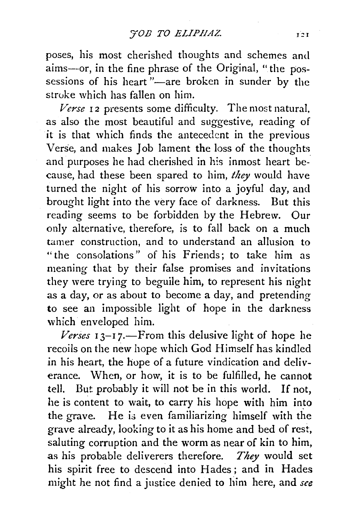poses, his most cherished thoughts and schemes and aims--or, in the fine phrase of the Original, "the possessions of his heart  $"$  are broken in sunder by the stroke which has fallen on him.

*Verse* 12 presents some difficulty. The most natural, as also the most beautiful and suggestive, reading of it is that which finds the antecedent in the previous Verse, and makes Job lament the loss of the thoughts and purposes he had cherished in his inmost heart because, had these been spared to him, *they* would have turned the night of his sorrow into a joyful day, and brought light into the very face of darkness. But this reading seems to be forbidden by the Hebrew. Our only alternative, therefore, is to fall back on a much tamer construction, and to understand an allusion to "the consolations" of his Friends; to take him as meaning that by their false promises and invitations they were trying to beguile him, to represent his night as a day, or as about to become a day, and pretending to see an impossible light of hope in the darkness which enveloped him.

 $I$ *<sub>3</sub>* $-I$ *7.—From this delusive light of hope he* recoils on the new hope which God Himself has kindled in his heart, the hope of a future vindication and deliverance. When, or how, it is to be fulfilled, he cannot tell. But probably it will not be in this world. If not, he is content to wait, to carry his hope with him into the grave. He is even familiarizing himself with the grave already, looking to it as his home and bed of rest, saluting corruption and the worm as near of kin to him, as his probable deliverers therefore. *They* would set his spirit free to descend into Hades; and in Hades might he not find a justice denied to him here, and *see*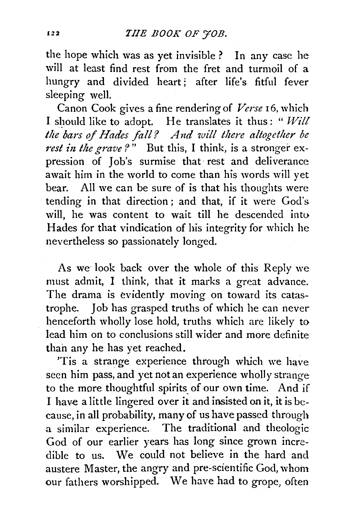the hope which was as yet invisible? In any case he will at least find rest from the fret and turmoil of a hungry and divided heart; after life's fitful fever sleeping well.

Canon Cook gives a fine rendering of *Verse* 16, which I should like to adopt. He translates it thus: " $Will$ the bars of Hades fall? And will there altogether be *rest in the grave?*" But this, I think, is a stronger expression of Job's surmise that· rest and deliverance await him in the world to come than his words will yet bear. All we can be sure of is that his thoughts were tending in that direction; and that, if it were God's will, he was content to wait till he descended into Hades for that vindication of his integrity for which he nevertheless so passionately longed.

As we look back over the whole of this Reply we must admit, I think, that it marks a great advance. The drama is evidently moving on toward its catastrophe. Job has grasped truths of which he can never henceforth wholly lose hold, truths which are likely to lead him on to conclusions still wider and more definite than any he has yet reached.

'Tis a strange experience through which we have seen him pass, and yet not an experience wholly strange to the more thoughtful spirits of our own time. And if I have a little lingered over it and insisted on it, it is because, in all probability, many of us have passed through a similar experience. The traditional and theologic God of our earlier years has long since grown incredible to us. We could not believe in the hard and austere Master, the angry and pre-scientific God, whom our fathers worshipped. We have had to grope, often